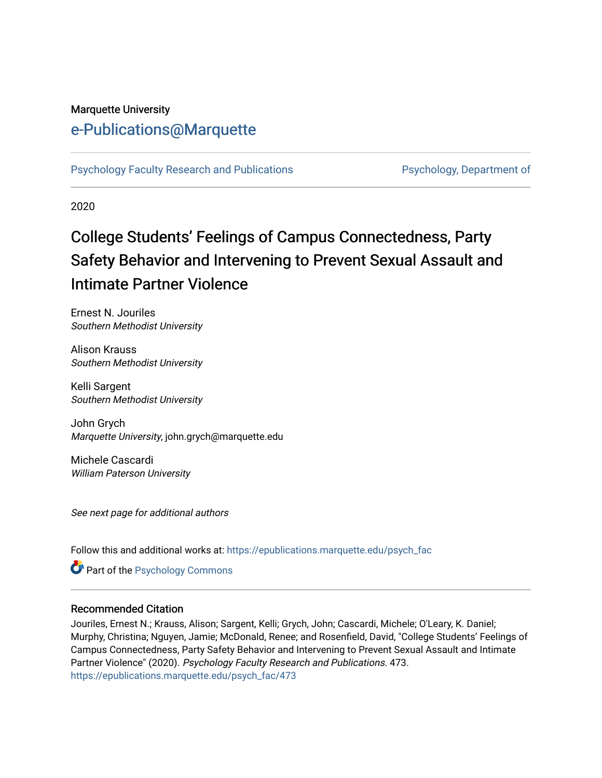## Marquette University

# [e-Publications@Marquette](https://epublications.marquette.edu/)

[Psychology Faculty Research and Publications](https://epublications.marquette.edu/psych_fac) **Properties Psychology, Department of** 

2020

# College Students' Feelings of Campus Connectedness, Party Safety Behavior and Intervening to Prevent Sexual Assault and Intimate Partner Violence

Ernest N. Jouriles Southern Methodist University

Alison Krauss Southern Methodist University

Kelli Sargent Southern Methodist University

John Grych Marquette University, john.grych@marquette.edu

Michele Cascardi William Paterson University

See next page for additional authors

Follow this and additional works at: [https://epublications.marquette.edu/psych\\_fac](https://epublications.marquette.edu/psych_fac?utm_source=epublications.marquette.edu%2Fpsych_fac%2F473&utm_medium=PDF&utm_campaign=PDFCoverPages)

**C** Part of the Psychology Commons

#### Recommended Citation

Jouriles, Ernest N.; Krauss, Alison; Sargent, Kelli; Grych, John; Cascardi, Michele; O'Leary, K. Daniel; Murphy, Christina; Nguyen, Jamie; McDonald, Renee; and Rosenfield, David, "College Students' Feelings of Campus Connectedness, Party Safety Behavior and Intervening to Prevent Sexual Assault and Intimate Partner Violence" (2020). Psychology Faculty Research and Publications. 473. [https://epublications.marquette.edu/psych\\_fac/473](https://epublications.marquette.edu/psych_fac/473?utm_source=epublications.marquette.edu%2Fpsych_fac%2F473&utm_medium=PDF&utm_campaign=PDFCoverPages)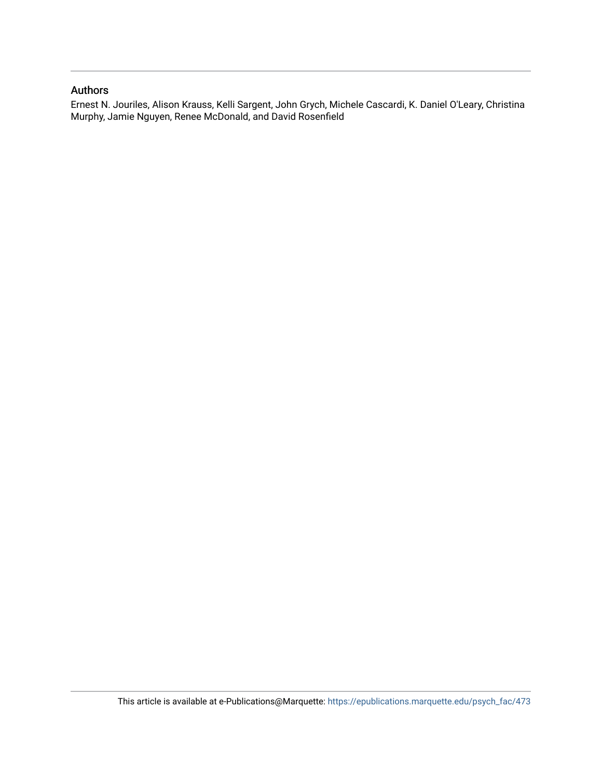#### Authors

Ernest N. Jouriles, Alison Krauss, Kelli Sargent, John Grych, Michele Cascardi, K. Daniel O'Leary, Christina Murphy, Jamie Nguyen, Renee McDonald, and David Rosenfield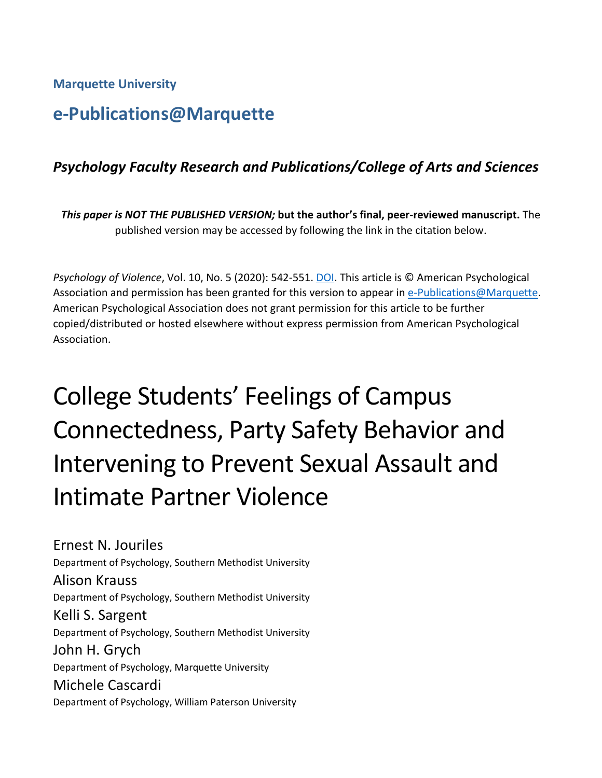**Marquette University**

# **e-Publications@Marquette**

# *Psychology Faculty Research and Publications/College of Arts and Sciences*

*This paper is NOT THE PUBLISHED VERSION;* **but the author's final, peer-reviewed manuscript.** The published version may be accessed by following the link in the citation below.

*Psychology of Violence*, Vol. 10, No. 5 (2020): 542-551. [DOI.](http://dx.doi.org/10.1037/vio0000284) This article is © American Psychological Association and permission has been granted for this version to appear in [e-Publications@Marquette.](http://epublications.marquette.edu/) American Psychological Association does not grant permission for this article to be further copied/distributed or hosted elsewhere without express permission from American Psychological Association.

# College Students' Feelings of Campus Connectedness, Party Safety Behavior and Intervening to Prevent Sexual Assault and Intimate Partner Violence

Ernest N. Jouriles Department of Psychology, Southern Methodist University Alison Krauss Department of Psychology, Southern Methodist University Kelli S. Sargent Department of Psychology, Southern Methodist University John H. Grych Department of Psychology, Marquette University Michele Cascardi Department of Psychology, William Paterson University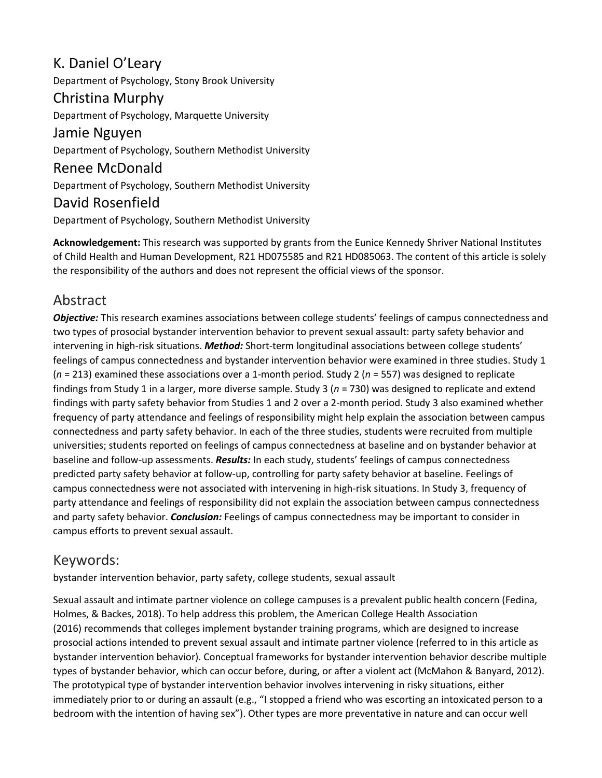# K. Daniel O'Leary

Department of Psychology, Stony Brook University

# Christina Murphy

Department of Psychology, Marquette University

Jamie Nguyen Department of Psychology, Southern Methodist University

Renee McDonald Department of Psychology, Southern Methodist University

# David Rosenfield

Department of Psychology, Southern Methodist University

**Acknowledgement:** This research was supported by grants from the Eunice Kennedy Shriver National Institutes of Child Health and Human Development, R21 HD075585 and R21 HD085063. The content of this article is solely the responsibility of the authors and does not represent the official views of the sponsor.

# Abstract

*Objective:* This research examines associations between college students' feelings of campus connectedness and two types of prosocial bystander intervention behavior to prevent sexual assault: party safety behavior and intervening in high-risk situations. *Method:* Short-term longitudinal associations between college students' feelings of campus connectedness and bystander intervention behavior were examined in three studies. Study 1 (*n* = 213) examined these associations over a 1-month period. Study 2 (*n* = 557) was designed to replicate findings from Study 1 in a larger, more diverse sample. Study 3 (*n* = 730) was designed to replicate and extend findings with party safety behavior from Studies 1 and 2 over a 2-month period. Study 3 also examined whether frequency of party attendance and feelings of responsibility might help explain the association between campus connectedness and party safety behavior. In each of the three studies, students were recruited from multiple universities; students reported on feelings of campus connectedness at baseline and on bystander behavior at baseline and follow-up assessments. *Results:* In each study, students' feelings of campus connectedness predicted party safety behavior at follow-up, controlling for party safety behavior at baseline. Feelings of campus connectedness were not associated with intervening in high-risk situations. In Study 3, frequency of party attendance and feelings of responsibility did not explain the association between campus connectedness and party safety behavior. *Conclusion:* Feelings of campus connectedness may be important to consider in campus efforts to prevent sexual assault.

# Keywords:

bystander intervention behavior, party safety, college students, sexual assault

Sexual assault and intimate partner violence on college campuses is a prevalent public health concern (Fedina, Holmes, & Backes, 2018). To help address this problem, the American College Health Association (2016) recommends that colleges implement bystander training programs, which are designed to increase prosocial actions intended to prevent sexual assault and intimate partner violence (referred to in this article as bystander intervention behavior). Conceptual frameworks for bystander intervention behavior describe multiple types of bystander behavior, which can occur before, during, or after a violent act (McMahon & Banyard, 2012). The prototypical type of bystander intervention behavior involves intervening in risky situations, either immediately prior to or during an assault (e.g., "I stopped a friend who was escorting an intoxicated person to a bedroom with the intention of having sex"). Other types are more preventative in nature and can occur well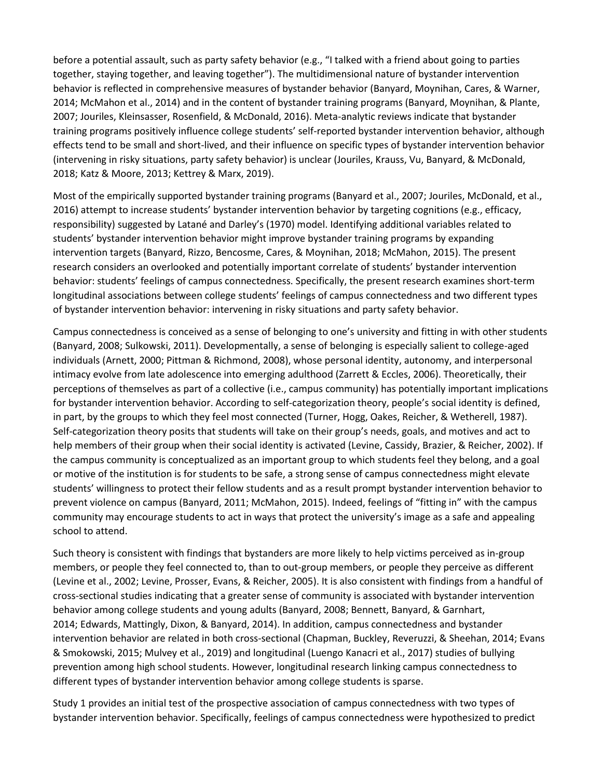before a potential assault, such as party safety behavior (e.g., "I talked with a friend about going to parties together, staying together, and leaving together"). The multidimensional nature of bystander intervention behavior is reflected in comprehensive measures of bystander behavior (Banyard, Moynihan, Cares, & Warner, 2014; McMahon et al., 2014) and in the content of bystander training programs (Banyard, Moynihan, & Plante, 2007; Jouriles, Kleinsasser, Rosenfield, & McDonald, 2016). Meta-analytic reviews indicate that bystander training programs positively influence college students' self-reported bystander intervention behavior, although effects tend to be small and short-lived, and their influence on specific types of bystander intervention behavior (intervening in risky situations, party safety behavior) is unclear (Jouriles, Krauss, Vu, Banyard, & McDonald, 2018; Katz & Moore, 2013; Kettrey & Marx, 2019).

Most of the empirically supported bystander training programs (Banyard et al., 2007; Jouriles, McDonald, et al., 2016) attempt to increase students' bystander intervention behavior by targeting cognitions (e.g., efficacy, responsibility) suggested by Latané and Darley's (1970) model. Identifying additional variables related to students' bystander intervention behavior might improve bystander training programs by expanding intervention targets (Banyard, Rizzo, Bencosme, Cares, & Moynihan, 2018; McMahon, 2015). The present research considers an overlooked and potentially important correlate of students' bystander intervention behavior: students' feelings of campus connectedness. Specifically, the present research examines short-term longitudinal associations between college students' feelings of campus connectedness and two different types of bystander intervention behavior: intervening in risky situations and party safety behavior.

Campus connectedness is conceived as a sense of belonging to one's university and fitting in with other students (Banyard, 2008; Sulkowski, 2011). Developmentally, a sense of belonging is especially salient to college-aged individuals (Arnett, 2000; Pittman & Richmond, 2008), whose personal identity, autonomy, and interpersonal intimacy evolve from late adolescence into emerging adulthood (Zarrett & Eccles, 2006). Theoretically, their perceptions of themselves as part of a collective (i.e., campus community) has potentially important implications for bystander intervention behavior. According to self-categorization theory, people's social identity is defined, in part, by the groups to which they feel most connected (Turner, Hogg, Oakes, Reicher, & Wetherell, 1987). Self-categorization theory posits that students will take on their group's needs, goals, and motives and act to help members of their group when their social identity is activated (Levine, Cassidy, Brazier, & Reicher, 2002). If the campus community is conceptualized as an important group to which students feel they belong, and a goal or motive of the institution is for students to be safe, a strong sense of campus connectedness might elevate students' willingness to protect their fellow students and as a result prompt bystander intervention behavior to prevent violence on campus (Banyard, 2011; McMahon, 2015). Indeed, feelings of "fitting in" with the campus community may encourage students to act in ways that protect the university's image as a safe and appealing school to attend.

Such theory is consistent with findings that bystanders are more likely to help victims perceived as in-group members, or people they feel connected to, than to out-group members, or people they perceive as different (Levine et al., 2002; Levine, Prosser, Evans, & Reicher, 2005). It is also consistent with findings from a handful of cross-sectional studies indicating that a greater sense of community is associated with bystander intervention behavior among college students and young adults (Banyard, 2008; Bennett, Banyard, & Garnhart, 2014; Edwards, Mattingly, Dixon, & Banyard, 2014). In addition, campus connectedness and bystander intervention behavior are related in both cross-sectional (Chapman, Buckley, Reveruzzi, & Sheehan, 2014; Evans & Smokowski, 2015; Mulvey et al., 2019) and longitudinal (Luengo Kanacri et al., 2017) studies of bullying prevention among high school students. However, longitudinal research linking campus connectedness to different types of bystander intervention behavior among college students is sparse.

Study 1 provides an initial test of the prospective association of campus connectedness with two types of bystander intervention behavior. Specifically, feelings of campus connectedness were hypothesized to predict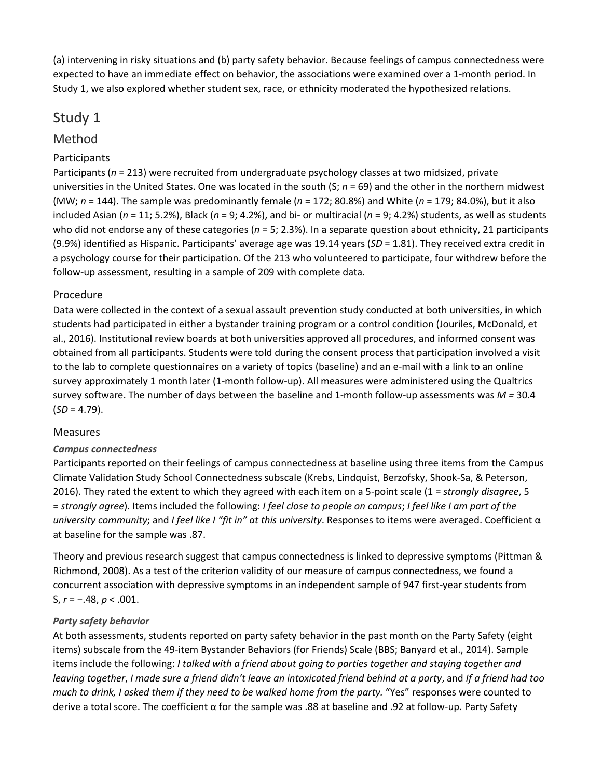(a) intervening in risky situations and (b) party safety behavior. Because feelings of campus connectedness were expected to have an immediate effect on behavior, the associations were examined over a 1-month period. In Study 1, we also explored whether student sex, race, or ethnicity moderated the hypothesized relations.

# Study 1

# Method

# Participants

Participants (*n* = 213) were recruited from undergraduate psychology classes at two midsized, private universities in the United States. One was located in the south (S; *n* = 69) and the other in the northern midwest (MW; *n* = 144). The sample was predominantly female (*n* = 172; 80.8%) and White (*n* = 179; 84.0%), but it also included Asian (*n* = 11; 5.2%), Black (*n* = 9; 4.2%), and bi- or multiracial (*n* = 9; 4.2%) students, as well as students who did not endorse any of these categories ( $n = 5$ ; 2.3%). In a separate question about ethnicity, 21 participants (9.9%) identified as Hispanic. Participants' average age was 19.14 years (*SD* = 1.81). They received extra credit in a psychology course for their participation. Of the 213 who volunteered to participate, four withdrew before the follow-up assessment, resulting in a sample of 209 with complete data.

## Procedure

Data were collected in the context of a sexual assault prevention study conducted at both universities, in which students had participated in either a bystander training program or a control condition (Jouriles, McDonald, et al., 2016). Institutional review boards at both universities approved all procedures, and informed consent was obtained from all participants. Students were told during the consent process that participation involved a visit to the lab to complete questionnaires on a variety of topics (baseline) and an e-mail with a link to an online survey approximately 1 month later (1-month follow-up). All measures were administered using the Qualtrics survey software. The number of days between the baseline and 1-month follow-up assessments was *M =* 30.4  $(SD = 4.79)$ .

## Measures

## *Campus connectedness*

Participants reported on their feelings of campus connectedness at baseline using three items from the Campus Climate Validation Study School Connectedness subscale (Krebs, Lindquist, Berzofsky, Shook-Sa, & Peterson, 2016). They rated the extent to which they agreed with each item on a 5-point scale (1 = *strongly disagree*, 5 = *strongly agree*). Items included the following: *I feel close to people on campus*; *I feel like I am part of the university community*; and *I feel like I "fit in" at this university*. Responses to items were averaged. Coefficient α at baseline for the sample was .87.

Theory and previous research suggest that campus connectedness is linked to depressive symptoms (Pittman & Richmond, 2008). As a test of the criterion validity of our measure of campus connectedness, we found a concurrent association with depressive symptoms in an independent sample of 947 first-year students from S, *r* = −.48, *p* < .001.

## *Party safety behavior*

At both assessments, students reported on party safety behavior in the past month on the Party Safety (eight items) subscale from the 49-item Bystander Behaviors (for Friends) Scale (BBS; Banyard et al., 2014). Sample items include the following: *I talked with a friend about going to parties together and staying together and leaving together*, *I made sure a friend didn't leave an intoxicated friend behind at a party*, and *If a friend had too much to drink, I asked them if they need to be walked home from the party.* "Yes" responses were counted to derive a total score. The coefficient α for the sample was .88 at baseline and .92 at follow-up. Party Safety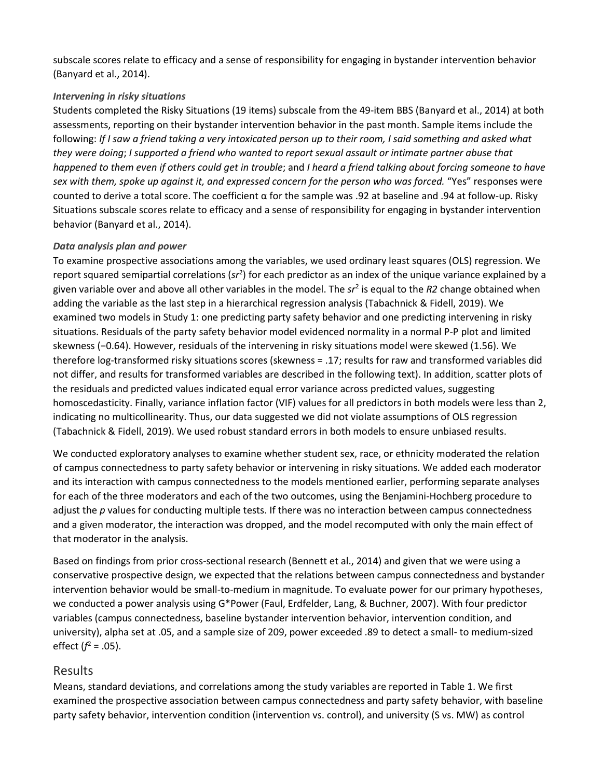subscale scores relate to efficacy and a sense of responsibility for engaging in bystander intervention behavior (Banyard et al., 2014).

#### *Intervening in risky situations*

Students completed the Risky Situations (19 items) subscale from the 49-item BBS (Banyard et al., 2014) at both assessments, reporting on their bystander intervention behavior in the past month. Sample items include the following: *If I saw a friend taking a very intoxicated person up to their room, I said something and asked what they were doing*; *I supported a friend who wanted to report sexual assault or intimate partner abuse that happened to them even if others could get in trouble*; and *I heard a friend talking about forcing someone to have sex with them, spoke up against it, and expressed concern for the person who was forced.* "Yes" responses were counted to derive a total score. The coefficient α for the sample was .92 at baseline and .94 at follow-up. Risky Situations subscale scores relate to efficacy and a sense of responsibility for engaging in bystander intervention behavior (Banyard et al., 2014).

#### *Data analysis plan and power*

To examine prospective associations among the variables, we used ordinary least squares (OLS) regression. We report squared semipartial correlations (sr<sup>2</sup>) for each predictor as an index of the unique variance explained by a given variable over and above all other variables in the model. The *sr*<sup>2</sup> is equal to the *R2* change obtained when adding the variable as the last step in a hierarchical regression analysis (Tabachnick & Fidell, 2019). We examined two models in Study 1: one predicting party safety behavior and one predicting intervening in risky situations. Residuals of the party safety behavior model evidenced normality in a normal P-P plot and limited skewness (−0.64). However, residuals of the intervening in risky situations model were skewed (1.56). We therefore log-transformed risky situations scores (skewness = .17; results for raw and transformed variables did not differ, and results for transformed variables are described in the following text). In addition, scatter plots of the residuals and predicted values indicated equal error variance across predicted values, suggesting homoscedasticity. Finally, variance inflation factor (VIF) values for all predictors in both models were less than 2, indicating no multicollinearity. Thus, our data suggested we did not violate assumptions of OLS regression (Tabachnick & Fidell, 2019). We used robust standard errors in both models to ensure unbiased results.

We conducted exploratory analyses to examine whether student sex, race, or ethnicity moderated the relation of campus connectedness to party safety behavior or intervening in risky situations. We added each moderator and its interaction with campus connectedness to the models mentioned earlier, performing separate analyses for each of the three moderators and each of the two outcomes, using the Benjamini-Hochberg procedure to adjust the *p* values for conducting multiple tests. If there was no interaction between campus connectedness and a given moderator, the interaction was dropped, and the model recomputed with only the main effect of that moderator in the analysis.

Based on findings from prior cross-sectional research (Bennett et al., 2014) and given that we were using a conservative prospective design, we expected that the relations between campus connectedness and bystander intervention behavior would be small-to-medium in magnitude. To evaluate power for our primary hypotheses, we conducted a power analysis using G\*Power (Faul, Erdfelder, Lang, & Buchner, 2007). With four predictor variables (campus connectedness, baseline bystander intervention behavior, intervention condition, and university), alpha set at .05, and a sample size of 209, power exceeded .89 to detect a small- to medium-sized effect  $(f^2 = .05)$ .

## Results

Means, standard deviations, and correlations among the study variables are reported in Table 1. We first examined the prospective association between campus connectedness and party safety behavior, with baseline party safety behavior, intervention condition (intervention vs. control), and university (S vs. MW) as control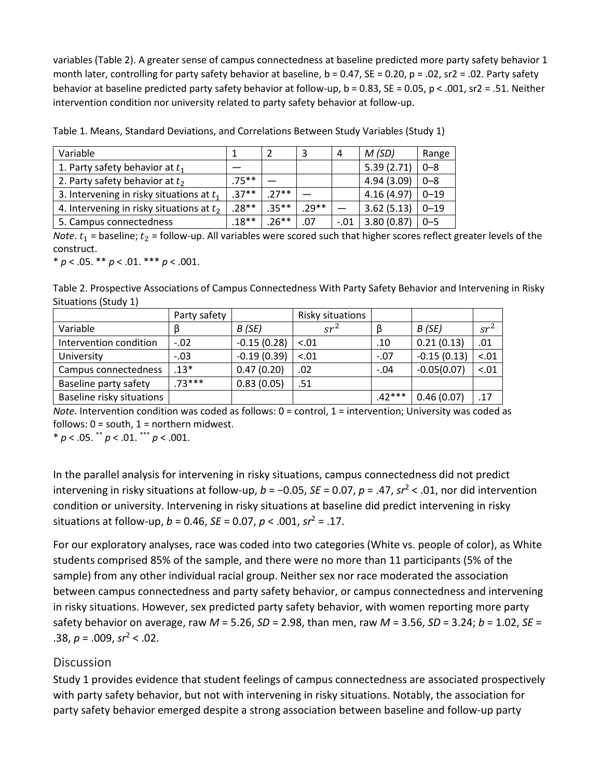variables (Table 2). A greater sense of campus connectedness at baseline predicted more party safety behavior 1 month later, controlling for party safety behavior at baseline,  $b = 0.47$ ,  $SE = 0.20$ ,  $p = .02$ ,  $src = .02$ . Party safety behavior at baseline predicted party safety behavior at follow-up, b = 0.83, SE = 0.05, p < .001, sr2 = .51. Neither intervention condition nor university related to party safety behavior at follow-up.

| Variable                                    |          |          |         | 4      | M(SD)      | Range    |
|---------------------------------------------|----------|----------|---------|--------|------------|----------|
| 1. Party safety behavior at $t_1$           |          |          |         |        | 5.39(2.71) | $0 - 8$  |
| 2. Party safety behavior at $t_2$           | $.75***$ |          |         |        | 4.94(3.09) | $0 - 8$  |
| 3. Intervening in risky situations at $t_1$ | $.37**$  | $27**$   |         |        | 4.16(4.97) | $0 - 19$ |
| 4. Intervening in risky situations at $t_2$ | $.28**$  | $.35***$ | $.29**$ |        | 3.62(5.13) | $0 - 19$ |
| 5. Campus connectedness                     | $.18**$  | $.26***$ | .07     | $-.01$ | 3.80(0.87) | $0 - 5$  |

Table 1. Means, Standard Deviations, and Correlations Between Study Variables (Study 1)

*Note.*  $t_1$  = baseline;  $t_2$  = follow-up. All variables were scored such that higher scores reflect greater levels of the construct.

 $* p < .05$ .  $* p < .01$ .  $* * p < .001$ .

Table 2. Prospective Associations of Campus Connectedness With Party Safety Behavior and Intervening in Risky Situations (Study 1)

|                           | Party safety |               | Risky situations |          |               |        |
|---------------------------|--------------|---------------|------------------|----------|---------------|--------|
| Variable                  | B            | B(SE)         | $sr^2$           | B        | B (SE)        | $sr^2$ |
| Intervention condition    | $-.02$       | $-0.15(0.28)$ | $-.01$           | .10      | 0.21(0.13)    | .01    |
| University                | $-.03$       | $-0.19(0.39)$ | $-.01$           | $-.07$   | $-0.15(0.13)$ | < .01  |
| Campus connectedness      | $.13*$       | 0.47(0.20)    | .02              | $-.04$   | $-0.05(0.07)$ | $-.01$ |
| Baseline party safety     | $.73***$     | 0.83(0.05)    | .51              |          |               |        |
| Baseline risky situations |              |               |                  | $.42***$ | 0.46(0.07)    | .17    |

*Note*. Intervention condition was coded as follows: 0 = control, 1 = intervention; University was coded as follows:  $0 =$  south,  $1 =$  northern midwest.

\* *p* < .05. \*\* *p* < .01. \*\*\* *p* < .001.

In the parallel analysis for intervening in risky situations, campus connectedness did not predict intervening in risky situations at follow-up, *b* = −0.05, *SE* = 0.07, *p* = .47, *sr*<sup>2</sup> < .01, nor did intervention condition or university. Intervening in risky situations at baseline did predict intervening in risky situations at follow-up, *b* = 0.46, *SE* = 0.07, *p* < .001, *sr*<sup>2</sup> = .17.

For our exploratory analyses, race was coded into two categories (White vs. people of color), as White students comprised 85% of the sample, and there were no more than 11 participants (5% of the sample) from any other individual racial group. Neither sex nor race moderated the association between campus connectedness and party safety behavior, or campus connectedness and intervening in risky situations. However, sex predicted party safety behavior, with women reporting more party safety behavior on average, raw *M* = 5.26, *SD* = 2.98, than men, raw *M* = 3.56, *SD* = 3.24; *b* = 1.02, *SE* = .38, *p* = .009, *sr*<sup>2</sup> < .02.

## **Discussion**

Study 1 provides evidence that student feelings of campus connectedness are associated prospectively with party safety behavior, but not with intervening in risky situations. Notably, the association for party safety behavior emerged despite a strong association between baseline and follow-up party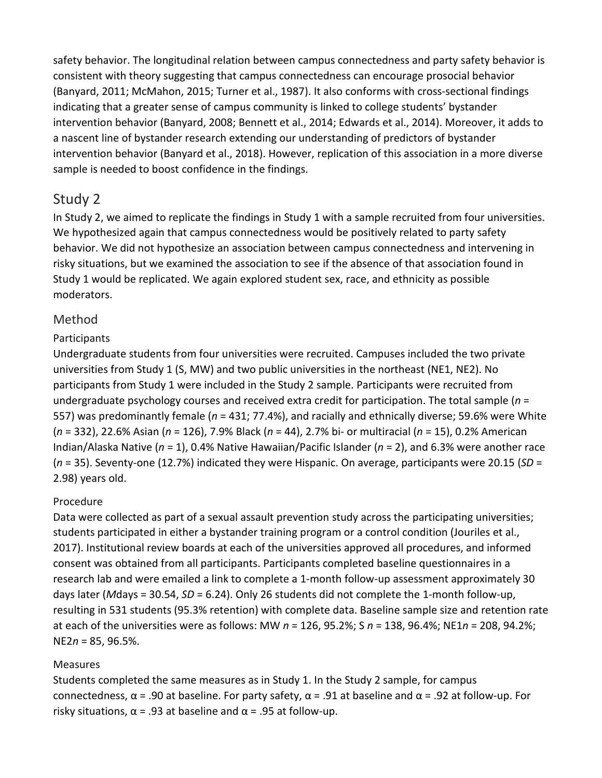safety behavior. The longitudinal relation between campus connectedness and party safety behavior is consistent with theory suggesting that campus connectedness can encourage prosocial behavior (Banyard, 2011; McMahon, 2015; Turner et al., 1987). It also conforms with cross-sectional findings indicating that a greater sense of campus community is linked to college students' bystander intervention behavior (Banyard, 2008; Bennett et al., 2014; Edwards et al., 2014). Moreover, it adds to a nascent line of bystander research extending our understanding of predictors of bystander intervention behavior (Banyard et al., 2018). However, replication of this association in a more diverse sample is needed to boost confidence in the findings.

# Study 2

In Study 2, we aimed to replicate the findings in Study 1 with a sample recruited from four universities. We hypothesized again that campus connectedness would be positively related to party safety behavior. We did not hypothesize an association between campus connectedness and intervening in risky situations, but we examined the association to see if the absence of that association found in Study 1 would be replicated. We again explored student sex, race, and ethnicity as possible moderators.

# Method

## **Participants**

Undergraduate students from four universities were recruited. Campuses included the two private universities from Study 1 (S, MW) and two public universities in the northeast (NE1, NE2). No participants from Study 1 were included in the Study 2 sample. Participants were recruited from undergraduate psychology courses and received extra credit for participation. The total sample (*n* = 557) was predominantly female (*n* = 431; 77.4%), and racially and ethnically diverse; 59.6% were White (*n* = 332), 22.6% Asian (*n* = 126), 7.9% Black (*n* = 44), 2.7% bi- or multiracial (*n* = 15), 0.2% American Indian/Alaska Native (*n* = 1), 0.4% Native Hawaiian/Pacific Islander (*n* = 2), and 6.3% were another race (*n* = 35). Seventy-one (12.7%) indicated they were Hispanic. On average, participants were 20.15 (*SD* = 2.98) years old.

## Procedure

Data were collected as part of a sexual assault prevention study across the participating universities; students participated in either a bystander training program or a control condition (Jouriles et al., 2017). Institutional review boards at each of the universities approved all procedures, and informed consent was obtained from all participants. Participants completed baseline questionnaires in a research lab and were emailed a link to complete a 1-month follow-up assessment approximately 30 days later (*M*days = 30.54, *SD* = 6.24). Only 26 students did not complete the 1-month follow-up, resulting in 531 students (95.3% retention) with complete data. Baseline sample size and retention rate at each of the universities were as follows: MW *n* = 126, 95.2%; S *n* = 138, 96.4%; NE1*n* = 208, 94.2%; NE2*n* = 85, 96.5%.

## Measures

Students completed the same measures as in Study 1. In the Study 2 sample, for campus connectedness, α = .90 at baseline. For party safety, α = .91 at baseline and α = .92 at follow-up. For risky situations,  $\alpha$  = .93 at baseline and  $\alpha$  = .95 at follow-up.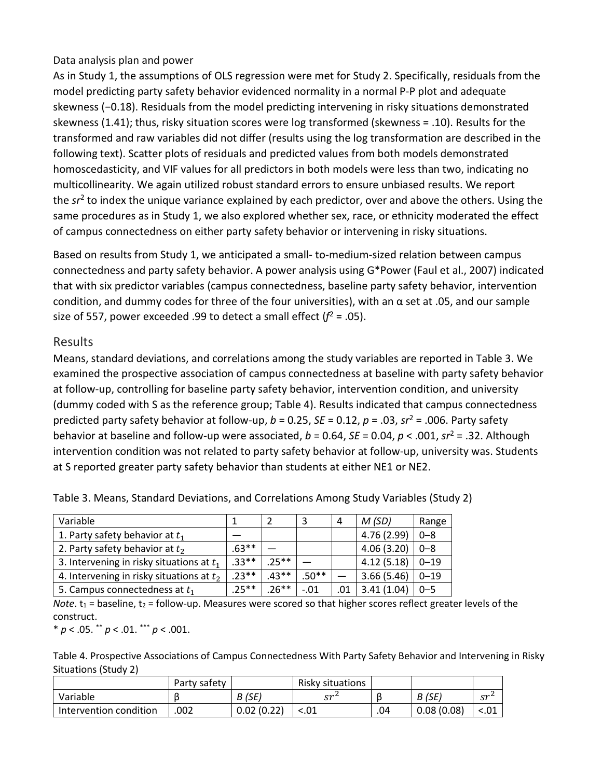#### Data analysis plan and power

As in Study 1, the assumptions of OLS regression were met for Study 2. Specifically, residuals from the model predicting party safety behavior evidenced normality in a normal P-P plot and adequate skewness (−0.18). Residuals from the model predicting intervening in risky situations demonstrated skewness (1.41); thus, risky situation scores were log transformed (skewness = .10). Results for the transformed and raw variables did not differ (results using the log transformation are described in the following text). Scatter plots of residuals and predicted values from both models demonstrated homoscedasticity, and VIF values for all predictors in both models were less than two, indicating no multicollinearity. We again utilized robust standard errors to ensure unbiased results. We report the *sr*<sup>2</sup> to index the unique variance explained by each predictor, over and above the others. Using the same procedures as in Study 1, we also explored whether sex, race, or ethnicity moderated the effect of campus connectedness on either party safety behavior or intervening in risky situations.

Based on results from Study 1, we anticipated a small- to-medium-sized relation between campus connectedness and party safety behavior. A power analysis using G\*Power (Faul et al., 2007) indicated that with six predictor variables (campus connectedness, baseline party safety behavior, intervention condition, and dummy codes for three of the four universities), with an α set at .05, and our sample size of 557, power exceeded .99 to detect a small effect  $(f^2 = .05)$ .

## Results

Means, standard deviations, and correlations among the study variables are reported in Table 3. We examined the prospective association of campus connectedness at baseline with party safety behavior at follow-up, controlling for baseline party safety behavior, intervention condition, and university (dummy coded with S as the reference group; Table 4). Results indicated that campus connectedness predicted party safety behavior at follow-up, *b* = 0.25, *SE* = 0.12, *p* = .03, *sr*<sup>2</sup> = .006. Party safety behavior at baseline and follow-up were associated, *b* = 0.64, *SE* = 0.04, *p* < .001, *sr*<sup>2</sup> = .32. Although intervention condition was not related to party safety behavior at follow-up, university was. Students at S reported greater party safety behavior than students at either NE1 or NE2.

| Variable                                    |        |         |         | 4   | M(SD)       | Range    |
|---------------------------------------------|--------|---------|---------|-----|-------------|----------|
| 1. Party safety behavior at $t_1$           |        |         |         |     | 4.76 (2.99) | $0 - 8$  |
| 2. Party safety behavior at $t_2$           | .63**  |         |         |     | 4.06(3.20)  | $0 - 8$  |
| 3. Intervening in risky situations at $t_1$ | $33**$ | $25**$  |         |     | 4.12(5.18)  | $0 - 19$ |
| 4. Intervening in risky situations at $t_2$ | $23**$ | $.43**$ | $.50**$ |     | 3.66(5.46)  | $0 - 19$ |
| 5. Campus connectedness at $t_1$            | .25**  | $.26**$ | $-.01$  | .01 | 3.41 (1.04) | $0 - 5$  |

Table 3. Means, Standard Deviations, and Correlations Among Study Variables (Study 2)

*Note*.  $t_1$  = baseline,  $t_2$  = follow-up. Measures were scored so that higher scores reflect greater levels of the construct.

\* *p* < .05. \*\* *p* < .01. \*\*\* *p* < .001.

Table 4. Prospective Associations of Campus Connectedness With Party Safety Behavior and Intervening in Risky Situations (Study 2)

|                        | Party safety |            | Risky situations |     |            |                 |
|------------------------|--------------|------------|------------------|-----|------------|-----------------|
| Variable               |              | B (SE)     | cr <sup>2</sup>  |     | B (SE)     | cr <sup>1</sup> |
| Intervention condition | .002         | 0.02(0.22) | < 0.01           | .04 | 0.08(0.08) |                 |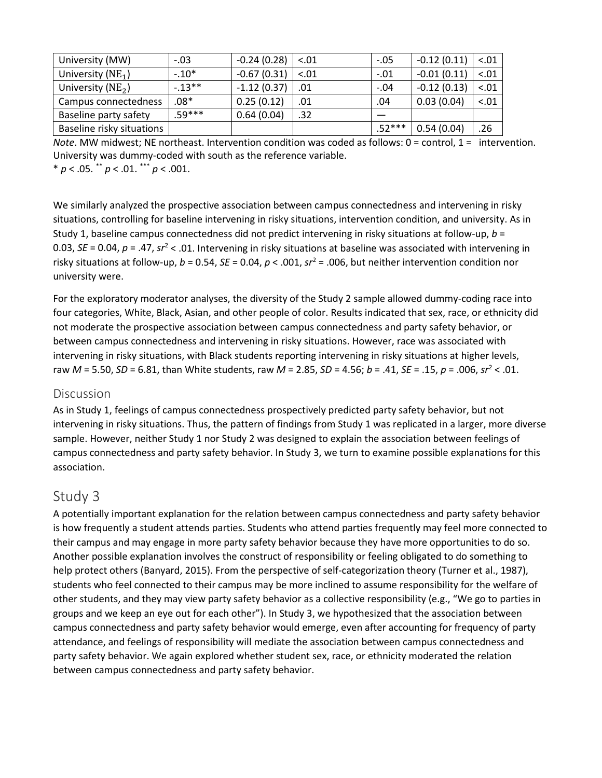| University (MW)           | $-.03$  | $-0.24(0.28)$ | $-.01$ | $-.05$   | $-0.12(0.11)$ | $-.01$ |
|---------------------------|---------|---------------|--------|----------|---------------|--------|
| University $(NE_1)$       | $-10*$  | $-0.67(0.31)$ | $-.01$ | $-.01$   | $-0.01(0.11)$ | $-.01$ |
| University ( $NE2$ )      | $-13**$ | $-1.12(0.37)$ | .01    | $-.04$   | $-0.12(0.13)$ | < .01  |
| Campus connectedness      | .08*    | 0.25(0.12)    | .01    | .04      | 0.03(0.04)    | < .01  |
| Baseline party safety     | 59 ***  | 0.64(0.04)    | .32    |          |               |        |
| Baseline risky situations |         |               |        | $.52***$ | 0.54(0.04)    | .26    |

*Note*. MW midwest; NE northeast. Intervention condition was coded as follows: 0 = control, 1 = intervention. University was dummy-coded with south as the reference variable. \* *p* < .05. \*\* *p* < .01. \*\*\* *p* < .001.

We similarly analyzed the prospective association between campus connectedness and intervening in risky situations, controlling for baseline intervening in risky situations, intervention condition, and university. As in Study 1, baseline campus connectedness did not predict intervening in risky situations at follow-up, *b* = 0.03, *SE* = 0.04, *p* = .47, *sr*<sup>2</sup> < .01. Intervening in risky situations at baseline was associated with intervening in risky situations at follow-up, *b* = 0.54, *SE* = 0.04, *p* < .001, *sr*<sup>2</sup> = .006, but neither intervention condition nor university were.

For the exploratory moderator analyses, the diversity of the Study 2 sample allowed dummy-coding race into four categories, White, Black, Asian, and other people of color. Results indicated that sex, race, or ethnicity did not moderate the prospective association between campus connectedness and party safety behavior, or between campus connectedness and intervening in risky situations. However, race was associated with intervening in risky situations, with Black students reporting intervening in risky situations at higher levels, raw *M* = 5.50, *SD* = 6.81, than White students, raw *M* = 2.85, *SD* = 4.56; *b* = .41, *SE* = .15, *p* = .006, *sr*<sup>2</sup> < .01.

#### **Discussion**

As in Study 1, feelings of campus connectedness prospectively predicted party safety behavior, but not intervening in risky situations. Thus, the pattern of findings from Study 1 was replicated in a larger, more diverse sample. However, neither Study 1 nor Study 2 was designed to explain the association between feelings of campus connectedness and party safety behavior. In Study 3, we turn to examine possible explanations for this association.

# Study 3

A potentially important explanation for the relation between campus connectedness and party safety behavior is how frequently a student attends parties. Students who attend parties frequently may feel more connected to their campus and may engage in more party safety behavior because they have more opportunities to do so. Another possible explanation involves the construct of responsibility or feeling obligated to do something to help protect others (Banyard, 2015). From the perspective of self-categorization theory (Turner et al., 1987), students who feel connected to their campus may be more inclined to assume responsibility for the welfare of other students, and they may view party safety behavior as a collective responsibility (e.g., "We go to parties in groups and we keep an eye out for each other"). In Study 3, we hypothesized that the association between campus connectedness and party safety behavior would emerge, even after accounting for frequency of party attendance, and feelings of responsibility will mediate the association between campus connectedness and party safety behavior. We again explored whether student sex, race, or ethnicity moderated the relation between campus connectedness and party safety behavior.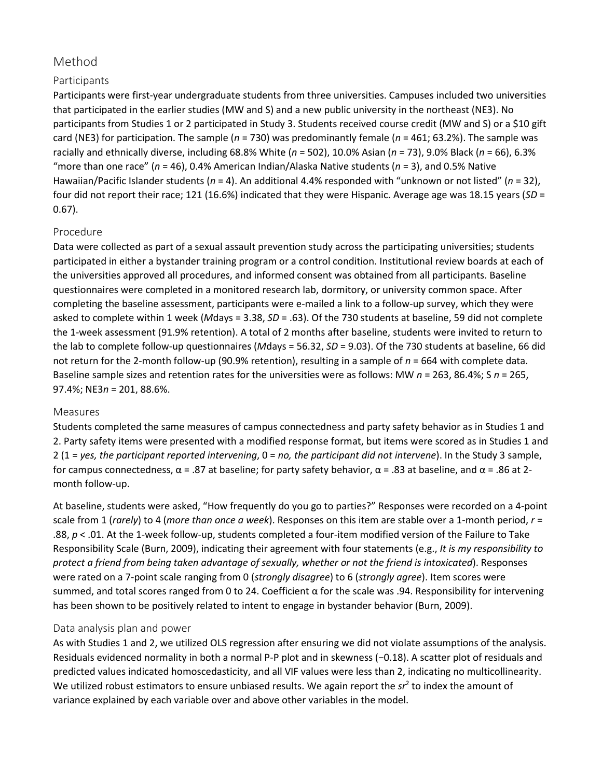# Method

## Participants

Participants were first-year undergraduate students from three universities. Campuses included two universities that participated in the earlier studies (MW and S) and a new public university in the northeast (NE3). No participants from Studies 1 or 2 participated in Study 3. Students received course credit (MW and S) or a \$10 gift card (NE3) for participation. The sample (*n* = 730) was predominantly female (*n* = 461; 63.2%). The sample was racially and ethnically diverse, including 68.8% White (*n* = 502), 10.0% Asian (*n* = 73), 9.0% Black (*n* = 66), 6.3% "more than one race" (*n* = 46), 0.4% American Indian/Alaska Native students (*n* = 3), and 0.5% Native Hawaiian/Pacific Islander students (*n* = 4). An additional 4.4% responded with "unknown or not listed" (*n* = 32), four did not report their race; 121 (16.6%) indicated that they were Hispanic. Average age was 18.15 years (*SD* = 0.67).

#### Procedure

Data were collected as part of a sexual assault prevention study across the participating universities; students participated in either a bystander training program or a control condition. Institutional review boards at each of the universities approved all procedures, and informed consent was obtained from all participants. Baseline questionnaires were completed in a monitored research lab, dormitory, or university common space. After completing the baseline assessment, participants were e-mailed a link to a follow-up survey, which they were asked to complete within 1 week (*M*days = 3.38, *SD* = .63). Of the 730 students at baseline, 59 did not complete the 1-week assessment (91.9% retention). A total of 2 months after baseline, students were invited to return to the lab to complete follow-up questionnaires (*M*days = 56.32, *SD* = 9.03). Of the 730 students at baseline, 66 did not return for the 2-month follow-up (90.9% retention), resulting in a sample of *n* = 664 with complete data. Baseline sample sizes and retention rates for the universities were as follows: MW *n* = 263, 86.4%; S *n* = 265, 97.4%; NE3*n* = 201, 88.6%.

#### Measures

Students completed the same measures of campus connectedness and party safety behavior as in Studies 1 and 2. Party safety items were presented with a modified response format, but items were scored as in Studies 1 and 2 (1 = *yes, the participant reported intervening*, 0 = *no, the participant did not intervene*). In the Study 3 sample, for campus connectedness, α = .87 at baseline; for party safety behavior, α = .83 at baseline, and α = .86 at 2 month follow-up.

At baseline, students were asked, "How frequently do you go to parties?" Responses were recorded on a 4-point scale from 1 (*rarely*) to 4 (*more than once a week*). Responses on this item are stable over a 1-month period, *r* = .88, *p* < .01. At the 1-week follow-up, students completed a four-item modified version of the Failure to Take Responsibility Scale (Burn, 2009), indicating their agreement with four statements (e.g., *It is my responsibility to protect a friend from being taken advantage of sexually, whether or not the friend is intoxicated*). Responses were rated on a 7-point scale ranging from 0 (*strongly disagree*) to 6 (*strongly agree*). Item scores were summed, and total scores ranged from 0 to 24. Coefficient α for the scale was .94. Responsibility for intervening has been shown to be positively related to intent to engage in bystander behavior (Burn, 2009).

#### Data analysis plan and power

As with Studies 1 and 2, we utilized OLS regression after ensuring we did not violate assumptions of the analysis. Residuals evidenced normality in both a normal P-P plot and in skewness (−0.18). A scatter plot of residuals and predicted values indicated homoscedasticity, and all VIF values were less than 2, indicating no multicollinearity. We utilized robust estimators to ensure unbiased results. We again report the  $sr^2$  to index the amount of variance explained by each variable over and above other variables in the model.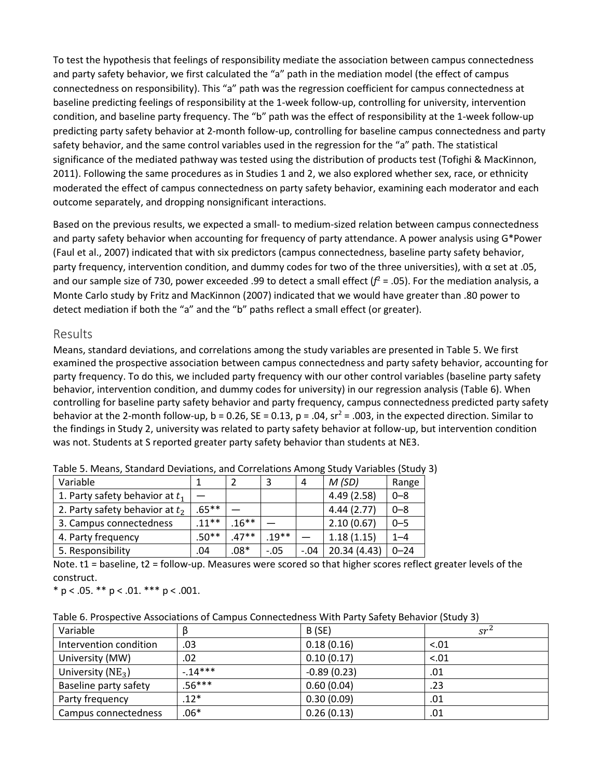To test the hypothesis that feelings of responsibility mediate the association between campus connectedness and party safety behavior, we first calculated the "a" path in the mediation model (the effect of campus connectedness on responsibility). This "a" path was the regression coefficient for campus connectedness at baseline predicting feelings of responsibility at the 1-week follow-up, controlling for university, intervention condition, and baseline party frequency. The "b" path was the effect of responsibility at the 1-week follow-up predicting party safety behavior at 2-month follow-up, controlling for baseline campus connectedness and party safety behavior, and the same control variables used in the regression for the "a" path. The statistical significance of the mediated pathway was tested using the distribution of products test (Tofighi & MacKinnon, 2011). Following the same procedures as in Studies 1 and 2, we also explored whether sex, race, or ethnicity moderated the effect of campus connectedness on party safety behavior, examining each moderator and each outcome separately, and dropping nonsignificant interactions.

Based on the previous results, we expected a small- to medium-sized relation between campus connectedness and party safety behavior when accounting for frequency of party attendance. A power analysis using G\*Power (Faul et al., 2007) indicated that with six predictors (campus connectedness, baseline party safety behavior, party frequency, intervention condition, and dummy codes for two of the three universities), with α set at .05, and our sample size of 730, power exceeded .99 to detect a small effect  $(f^2 = .05)$ . For the mediation analysis, a Monte Carlo study by Fritz and MacKinnon (2007) indicated that we would have greater than .80 power to detect mediation if both the "a" and the "b" paths reflect a small effect (or greater).

#### Results

Means, standard deviations, and correlations among the study variables are presented in Table 5. We first examined the prospective association between campus connectedness and party safety behavior, accounting for party frequency. To do this, we included party frequency with our other control variables (baseline party safety behavior, intervention condition, and dummy codes for university) in our regression analysis (Table 6). When controlling for baseline party safety behavior and party frequency, campus connectedness predicted party safety behavior at the 2-month follow-up, b = 0.26, SE = 0.13, p = .04,  $sr^2$  = .003, in the expected direction. Similar to the findings in Study 2, university was related to party safety behavior at follow-up, but intervention condition was not. Students at S reported greater party safety behavior than students at NE3.

| Variable                          |          |         |         | 4      | M(SD)        | Range    |
|-----------------------------------|----------|---------|---------|--------|--------------|----------|
| 1. Party safety behavior at $t_1$ |          |         |         |        | 4.49(2.58)   | $0 - 8$  |
| 2. Party safety behavior at $t_2$ | $.65***$ |         |         |        | 4.44(2.77)   | $0 - 8$  |
| 3. Campus connectedness           | $.11**$  | $16***$ |         |        | 2.10(0.67)   | $0 - 5$  |
| 4. Party frequency                | $.50**$  | $.47**$ | $.19**$ |        | 1.18(1.15)   | $1 - 4$  |
| 5. Responsibility                 | .04      | $.08*$  | $-.05$  | $-.04$ | 20.34 (4.43) | $0 - 24$ |

Table 5. Means, Standard Deviations, and Correlations Among Study Variables (Study 3)

Note. t1 = baseline, t2 = follow-up. Measures were scored so that higher scores reflect greater levels of the construct.

 $*$  p < .05.  $*$  $*$  p < .01.  $*$  $*$  $*$  p < .001.

Table 6. Prospective Associations of Campus Connectedness With Party Safety Behavior (Study 3)

| Variable               |          | B(SE)         | $sr^2$ |
|------------------------|----------|---------------|--------|
| Intervention condition | .03      | 0.18(0.16)    | $-.01$ |
| University (MW)        | .02      | 0.10(0.17)    | $-.01$ |
| University ( $NE_3$ )  | $-14***$ | $-0.89(0.23)$ | .01    |
| Baseline party safety  | $.56***$ | 0.60(0.04)    | .23    |
| Party frequency        | $.12*$   | 0.30(0.09)    | .01    |
| Campus connectedness   | $.06*$   | 0.26(0.13)    | .01    |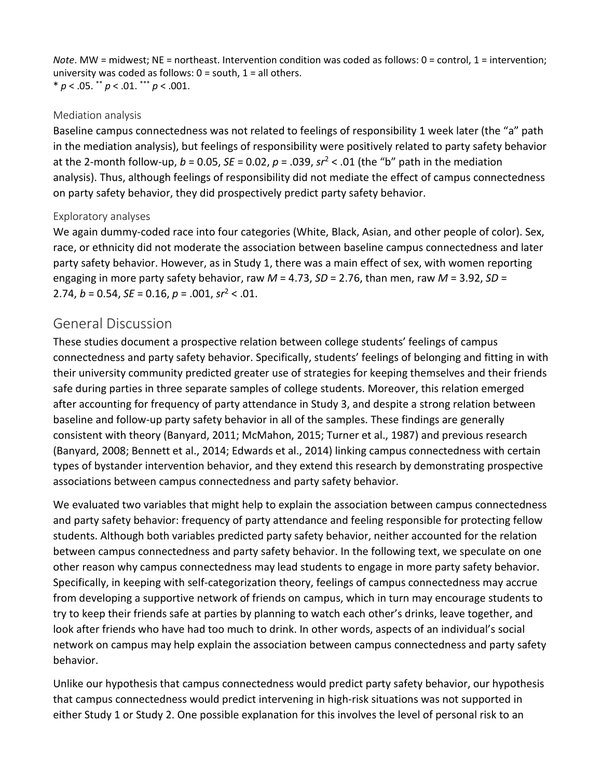*Note*. MW = midwest; NE = northeast. Intervention condition was coded as follows: 0 = control, 1 = intervention; university was coded as follows:  $0 =$  south,  $1 =$  all others.

\* *p* < .05. \*\* *p* < .01. \*\*\* *p* < .001.

## Mediation analysis

Baseline campus connectedness was not related to feelings of responsibility 1 week later (the "a" path in the mediation analysis), but feelings of responsibility were positively related to party safety behavior at the 2-month follow-up, *b* = 0.05, *SE* = 0.02, *p* = .039, *sr*<sup>2</sup> < .01 (the "b" path in the mediation analysis). Thus, although feelings of responsibility did not mediate the effect of campus connectedness on party safety behavior, they did prospectively predict party safety behavior.

## Exploratory analyses

We again dummy-coded race into four categories (White, Black, Asian, and other people of color). Sex, race, or ethnicity did not moderate the association between baseline campus connectedness and later party safety behavior. However, as in Study 1, there was a main effect of sex, with women reporting engaging in more party safety behavior, raw *M* = 4.73, *SD* = 2.76, than men, raw *M* = 3.92, *SD* = 2.74, *b* = 0.54, *SE* = 0.16, *p* = .001, *sr*<sup>2</sup> < .01.

# General Discussion

These studies document a prospective relation between college students' feelings of campus connectedness and party safety behavior. Specifically, students' feelings of belonging and fitting in with their university community predicted greater use of strategies for keeping themselves and their friends safe during parties in three separate samples of college students. Moreover, this relation emerged after accounting for frequency of party attendance in Study 3, and despite a strong relation between baseline and follow-up party safety behavior in all of the samples. These findings are generally consistent with theory (Banyard, 2011; McMahon, 2015; Turner et al., 1987) and previous research (Banyard, 2008; Bennett et al., 2014; Edwards et al., 2014) linking campus connectedness with certain types of bystander intervention behavior, and they extend this research by demonstrating prospective associations between campus connectedness and party safety behavior.

We evaluated two variables that might help to explain the association between campus connectedness and party safety behavior: frequency of party attendance and feeling responsible for protecting fellow students. Although both variables predicted party safety behavior, neither accounted for the relation between campus connectedness and party safety behavior. In the following text, we speculate on one other reason why campus connectedness may lead students to engage in more party safety behavior. Specifically, in keeping with self-categorization theory, feelings of campus connectedness may accrue from developing a supportive network of friends on campus, which in turn may encourage students to try to keep their friends safe at parties by planning to watch each other's drinks, leave together, and look after friends who have had too much to drink. In other words, aspects of an individual's social network on campus may help explain the association between campus connectedness and party safety behavior.

Unlike our hypothesis that campus connectedness would predict party safety behavior, our hypothesis that campus connectedness would predict intervening in high-risk situations was not supported in either Study 1 or Study 2. One possible explanation for this involves the level of personal risk to an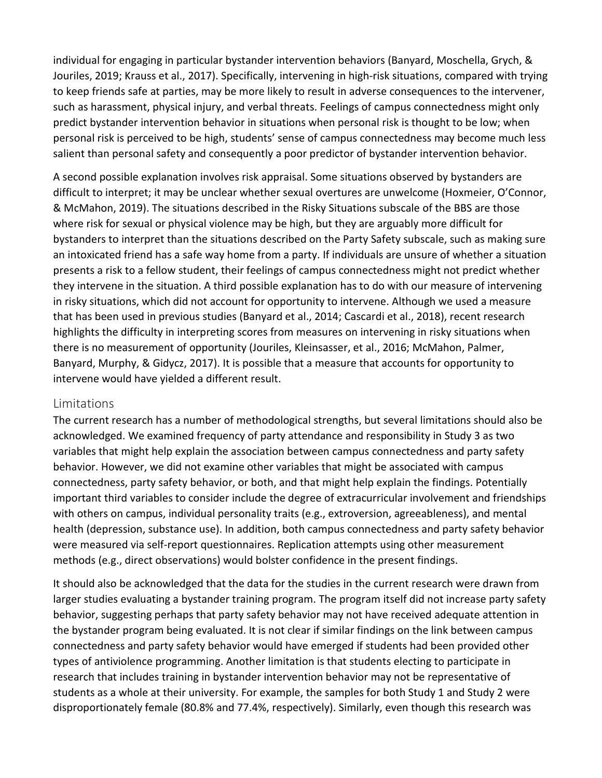individual for engaging in particular bystander intervention behaviors (Banyard, Moschella, Grych, & Jouriles, 2019; Krauss et al., 2017). Specifically, intervening in high-risk situations, compared with trying to keep friends safe at parties, may be more likely to result in adverse consequences to the intervener, such as harassment, physical injury, and verbal threats. Feelings of campus connectedness might only predict bystander intervention behavior in situations when personal risk is thought to be low; when personal risk is perceived to be high, students' sense of campus connectedness may become much less salient than personal safety and consequently a poor predictor of bystander intervention behavior.

A second possible explanation involves risk appraisal. Some situations observed by bystanders are difficult to interpret; it may be unclear whether sexual overtures are unwelcome (Hoxmeier, O'Connor, & McMahon, 2019). The situations described in the Risky Situations subscale of the BBS are those where risk for sexual or physical violence may be high, but they are arguably more difficult for bystanders to interpret than the situations described on the Party Safety subscale, such as making sure an intoxicated friend has a safe way home from a party. If individuals are unsure of whether a situation presents a risk to a fellow student, their feelings of campus connectedness might not predict whether they intervene in the situation. A third possible explanation has to do with our measure of intervening in risky situations, which did not account for opportunity to intervene. Although we used a measure that has been used in previous studies (Banyard et al., 2014; Cascardi et al., 2018), recent research highlights the difficulty in interpreting scores from measures on intervening in risky situations when there is no measurement of opportunity (Jouriles, Kleinsasser, et al., 2016; McMahon, Palmer, Banyard, Murphy, & Gidycz, 2017). It is possible that a measure that accounts for opportunity to intervene would have yielded a different result.

## Limitations

The current research has a number of methodological strengths, but several limitations should also be acknowledged. We examined frequency of party attendance and responsibility in Study 3 as two variables that might help explain the association between campus connectedness and party safety behavior. However, we did not examine other variables that might be associated with campus connectedness, party safety behavior, or both, and that might help explain the findings. Potentially important third variables to consider include the degree of extracurricular involvement and friendships with others on campus, individual personality traits (e.g., extroversion, agreeableness), and mental health (depression, substance use). In addition, both campus connectedness and party safety behavior were measured via self-report questionnaires. Replication attempts using other measurement methods (e.g., direct observations) would bolster confidence in the present findings.

It should also be acknowledged that the data for the studies in the current research were drawn from larger studies evaluating a bystander training program. The program itself did not increase party safety behavior, suggesting perhaps that party safety behavior may not have received adequate attention in the bystander program being evaluated. It is not clear if similar findings on the link between campus connectedness and party safety behavior would have emerged if students had been provided other types of antiviolence programming. Another limitation is that students electing to participate in research that includes training in bystander intervention behavior may not be representative of students as a whole at their university. For example, the samples for both Study 1 and Study 2 were disproportionately female (80.8% and 77.4%, respectively). Similarly, even though this research was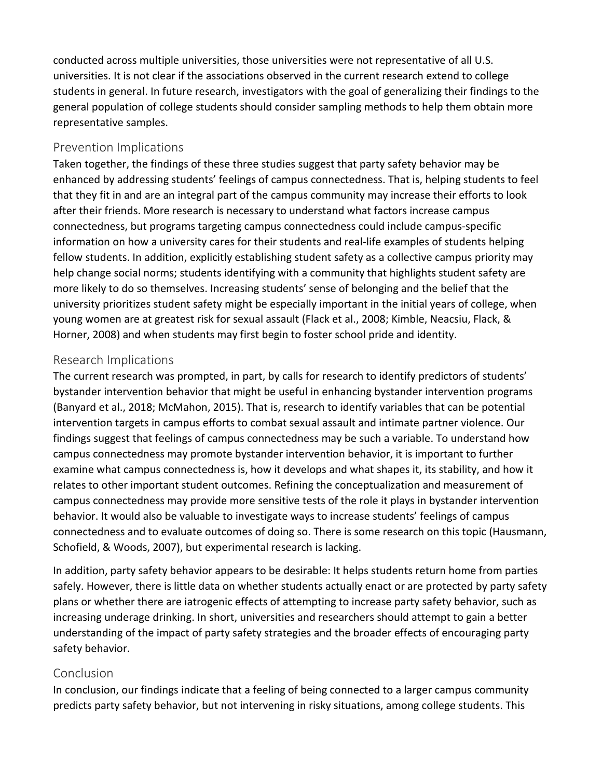conducted across multiple universities, those universities were not representative of all U.S. universities. It is not clear if the associations observed in the current research extend to college students in general. In future research, investigators with the goal of generalizing their findings to the general population of college students should consider sampling methods to help them obtain more representative samples.

# Prevention Implications

Taken together, the findings of these three studies suggest that party safety behavior may be enhanced by addressing students' feelings of campus connectedness. That is, helping students to feel that they fit in and are an integral part of the campus community may increase their efforts to look after their friends. More research is necessary to understand what factors increase campus connectedness, but programs targeting campus connectedness could include campus-specific information on how a university cares for their students and real-life examples of students helping fellow students. In addition, explicitly establishing student safety as a collective campus priority may help change social norms; students identifying with a community that highlights student safety are more likely to do so themselves. Increasing students' sense of belonging and the belief that the university prioritizes student safety might be especially important in the initial years of college, when young women are at greatest risk for sexual assault (Flack et al., 2008; Kimble, Neacsiu, Flack, & Horner, 2008) and when students may first begin to foster school pride and identity.

## Research Implications

The current research was prompted, in part, by calls for research to identify predictors of students' bystander intervention behavior that might be useful in enhancing bystander intervention programs (Banyard et al., 2018; McMahon, 2015). That is, research to identify variables that can be potential intervention targets in campus efforts to combat sexual assault and intimate partner violence. Our findings suggest that feelings of campus connectedness may be such a variable. To understand how campus connectedness may promote bystander intervention behavior, it is important to further examine what campus connectedness is, how it develops and what shapes it, its stability, and how it relates to other important student outcomes. Refining the conceptualization and measurement of campus connectedness may provide more sensitive tests of the role it plays in bystander intervention behavior. It would also be valuable to investigate ways to increase students' feelings of campus connectedness and to evaluate outcomes of doing so. There is some research on this topic (Hausmann, Schofield, & Woods, 2007), but experimental research is lacking.

In addition, party safety behavior appears to be desirable: It helps students return home from parties safely. However, there is little data on whether students actually enact or are protected by party safety plans or whether there are iatrogenic effects of attempting to increase party safety behavior, such as increasing underage drinking. In short, universities and researchers should attempt to gain a better understanding of the impact of party safety strategies and the broader effects of encouraging party safety behavior.

# Conclusion

In conclusion, our findings indicate that a feeling of being connected to a larger campus community predicts party safety behavior, but not intervening in risky situations, among college students. This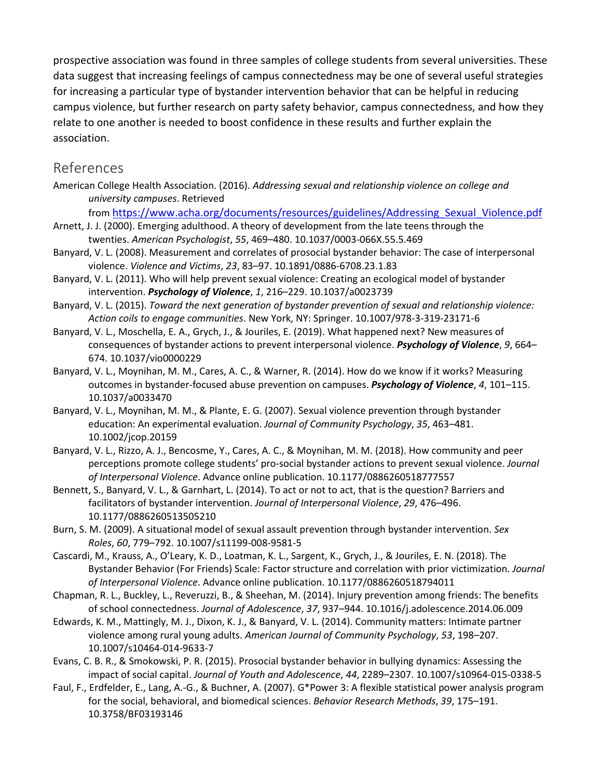prospective association was found in three samples of college students from several universities. These data suggest that increasing feelings of campus connectedness may be one of several useful strategies for increasing a particular type of bystander intervention behavior that can be helpful in reducing campus violence, but further research on party safety behavior, campus connectedness, and how they relate to one another is needed to boost confidence in these results and further explain the association.

# [References](https://0-web-b-ebscohost-com.libus.csd.mu.edu/ehost/detail/detail?vid=2&sid=03bbe12a-1830-444e-a008-7e261c820124%40sessionmgr102&bdata=JnNpdGU9ZWhvc3QtbGl2ZSZzY29wZT1zaXRl#toc)

- American College Health Association. (2016). *Addressing sexual and relationship violence on college and university campuses*. Retrieved
	- from [https://www.acha.org/documents/resources/guidelines/Addressing\\_Sexual\\_Violence.pdf](https://www.acha.org/documents/resources/guidelines/Addressing_Sexual_Violence.pdf)
- Arnett, J. J. (2000). Emerging adulthood. A theory of development from the late teens through the twenties. *American Psychologist*, *55*, 469–480. 10.1037/0003-066X.55.5.469
- Banyard, V. L. (2008). Measurement and correlates of prosocial bystander behavior: The case of interpersonal violence. *Violence and Victims*, *23*, 83–97. 10.1891/0886-6708.23.1.83
- Banyard, V. L. (2011). Who will help prevent sexual violence: Creating an ecological model of bystander intervention. *Psychology of Violence*, *1*, 216–229. 10.1037/a0023739
- Banyard, V. L. (2015). *Toward the next generation of bystander prevention of sexual and relationship violence: Action coils to engage communities*. New York, NY: Springer. 10.1007/978-3-319-23171-6
- Banyard, V. L., Moschella, E. A., Grych, J., & Jouriles, E. (2019). What happened next? New measures of consequences of bystander actions to prevent interpersonal violence. *Psychology of Violence*, *9*, 664– 674. 10.1037/vio0000229
- Banyard, V. L., Moynihan, M. M., Cares, A. C., & Warner, R. (2014). How do we know if it works? Measuring outcomes in bystander-focused abuse prevention on campuses. *Psychology of Violence*, *4*, 101–115. 10.1037/a0033470
- Banyard, V. L., Moynihan, M. M., & Plante, E. G. (2007). Sexual violence prevention through bystander education: An experimental evaluation. *Journal of Community Psychology*, *35*, 463–481. 10.1002/jcop.20159
- Banyard, V. L., Rizzo, A. J., Bencosme, Y., Cares, A. C., & Moynihan, M. M. (2018). How community and peer perceptions promote college students' pro-social bystander actions to prevent sexual violence. *Journal of Interpersonal Violence*. Advance online publication. 10.1177/0886260518777557
- Bennett, S., Banyard, V. L., & Garnhart, L. (2014). To act or not to act, that is the question? Barriers and facilitators of bystander intervention. *Journal of Interpersonal Violence*, *29*, 476–496. 10.1177/0886260513505210
- Burn, S. M. (2009). A situational model of sexual assault prevention through bystander intervention. *Sex Roles*, *60*, 779–792. 10.1007/s11199-008-9581-5
- Cascardi, M., Krauss, A., O'Leary, K. D., Loatman, K. L., Sargent, K., Grych, J., & Jouriles, E. N. (2018). The Bystander Behavior (For Friends) Scale: Factor structure and correlation with prior victimization. *Journal of Interpersonal Violence*. Advance online publication. 10.1177/0886260518794011
- Chapman, R. L., Buckley, L., Reveruzzi, B., & Sheehan, M. (2014). Injury prevention among friends: The benefits of school connectedness. *Journal of Adolescence*, *37*, 937–944. 10.1016/j.adolescence.2014.06.009
- Edwards, K. M., Mattingly, M. J., Dixon, K. J., & Banyard, V. L. (2014). Community matters: Intimate partner violence among rural young adults. *American Journal of Community Psychology*, *53*, 198–207. 10.1007/s10464-014-9633-7
- Evans, C. B. R., & Smokowski, P. R. (2015). Prosocial bystander behavior in bullying dynamics: Assessing the impact of social capital. *Journal of Youth and Adolescence*, *44*, 2289–2307. 10.1007/s10964-015-0338-5
- Faul, F., Erdfelder, E., Lang, A.-G., & Buchner, A. (2007). G\*Power 3: A flexible statistical power analysis program for the social, behavioral, and biomedical sciences. *Behavior Research Methods*, *39*, 175–191. 10.3758/BF03193146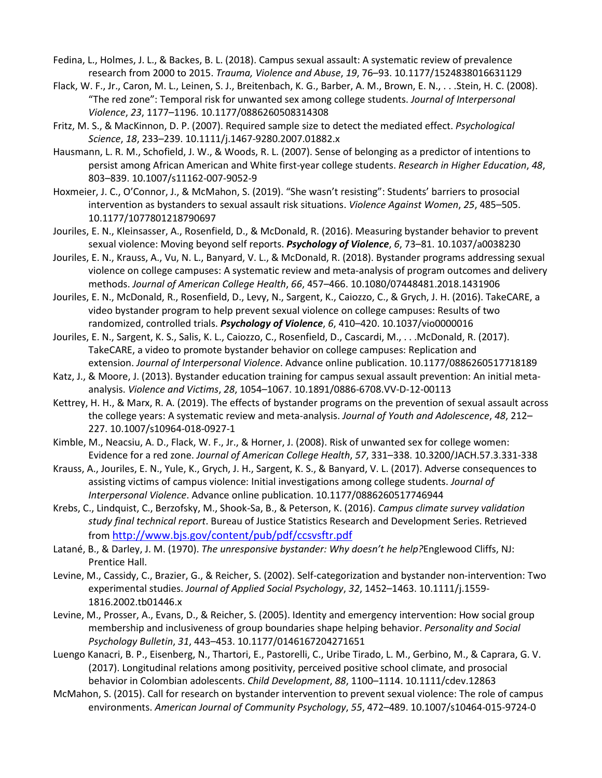- Fedina, L., Holmes, J. L., & Backes, B. L. (2018). Campus sexual assault: A systematic review of prevalence research from 2000 to 2015. *Trauma, Violence and Abuse*, *19*, 76–93. 10.1177/1524838016631129
- Flack, W. F., Jr., Caron, M. L., Leinen, S. J., Breitenbach, K. G., Barber, A. M., Brown, E. N., . . .Stein, H. C. (2008). "The red zone": Temporal risk for unwanted sex among college students. *Journal of Interpersonal Violence*, *23*, 1177–1196. 10.1177/0886260508314308
- Fritz, M. S., & MacKinnon, D. P. (2007). Required sample size to detect the mediated effect. *Psychological Science*, *18*, 233–239. 10.1111/j.1467-9280.2007.01882.x
- Hausmann, L. R. M., Schofield, J. W., & Woods, R. L. (2007). Sense of belonging as a predictor of intentions to persist among African American and White first-year college students. *Research in Higher Education*, *48*, 803–839. 10.1007/s11162-007-9052-9
- Hoxmeier, J. C., O'Connor, J., & McMahon, S. (2019). "She wasn't resisting": Students' barriers to prosocial intervention as bystanders to sexual assault risk situations. *Violence Against Women*, *25*, 485–505. 10.1177/1077801218790697
- Jouriles, E. N., Kleinsasser, A., Rosenfield, D., & McDonald, R. (2016). Measuring bystander behavior to prevent sexual violence: Moving beyond self reports. *Psychology of Violence*, *6*, 73–81. 10.1037/a0038230
- Jouriles, E. N., Krauss, A., Vu, N. L., Banyard, V. L., & McDonald, R. (2018). Bystander programs addressing sexual violence on college campuses: A systematic review and meta-analysis of program outcomes and delivery methods. *Journal of American College Health*, *66*, 457–466. 10.1080/07448481.2018.1431906
- Jouriles, E. N., McDonald, R., Rosenfield, D., Levy, N., Sargent, K., Caiozzo, C., & Grych, J. H. (2016). TakeCARE, a video bystander program to help prevent sexual violence on college campuses: Results of two randomized, controlled trials. *Psychology of Violence*, *6*, 410–420. 10.1037/vio0000016
- Jouriles, E. N., Sargent, K. S., Salis, K. L., Caiozzo, C., Rosenfield, D., Cascardi, M., . . .McDonald, R. (2017). TakeCARE, a video to promote bystander behavior on college campuses: Replication and extension. *Journal of Interpersonal Violence*. Advance online publication. 10.1177/0886260517718189
- Katz, J., & Moore, J. (2013). Bystander education training for campus sexual assault prevention: An initial metaanalysis. *Violence and Victims*, *28*, 1054–1067. 10.1891/0886-6708.VV-D-12-00113
- Kettrey, H. H., & Marx, R. A. (2019). The effects of bystander programs on the prevention of sexual assault across the college years: A systematic review and meta-analysis. *Journal of Youth and Adolescence*, *48*, 212– 227. 10.1007/s10964-018-0927-1
- Kimble, M., Neacsiu, A. D., Flack, W. F., Jr., & Horner, J. (2008). Risk of unwanted sex for college women: Evidence for a red zone. *Journal of American College Health*, *57*, 331–338. 10.3200/JACH.57.3.331-338
- Krauss, A., Jouriles, E. N., Yule, K., Grych, J. H., Sargent, K. S., & Banyard, V. L. (2017). Adverse consequences to assisting victims of campus violence: Initial investigations among college students. *Journal of Interpersonal Violence*. Advance online publication. 10.1177/0886260517746944
- Krebs, C., Lindquist, C., Berzofsky, M., Shook-Sa, B., & Peterson, K. (2016). *Campus climate survey validation study final technical report*. Bureau of Justice Statistics Research and Development Series. Retrieved from <http://www.bjs.gov/content/pub/pdf/ccsvsftr.pdf>
- Latané, B., & Darley, J. M. (1970). *The unresponsive bystander: Why doesn't he help?*Englewood Cliffs, NJ: Prentice Hall.
- Levine, M., Cassidy, C., Brazier, G., & Reicher, S. (2002). Self-categorization and bystander non-intervention: Two experimental studies. *Journal of Applied Social Psychology*, *32*, 1452–1463. 10.1111/j.1559- 1816.2002.tb01446.x
- Levine, M., Prosser, A., Evans, D., & Reicher, S. (2005). Identity and emergency intervention: How social group membership and inclusiveness of group boundaries shape helping behavior. *Personality and Social Psychology Bulletin*, *31*, 443–453. 10.1177/0146167204271651
- Luengo Kanacri, B. P., Eisenberg, N., Thartori, E., Pastorelli, C., Uribe Tirado, L. M., Gerbino, M., & Caprara, G. V. (2017). Longitudinal relations among positivity, perceived positive school climate, and prosocial behavior in Colombian adolescents. *Child Development*, *88*, 1100–1114. 10.1111/cdev.12863
- McMahon, S. (2015). Call for research on bystander intervention to prevent sexual violence: The role of campus environments. *American Journal of Community Psychology*, *55*, 472–489. 10.1007/s10464-015-9724-0